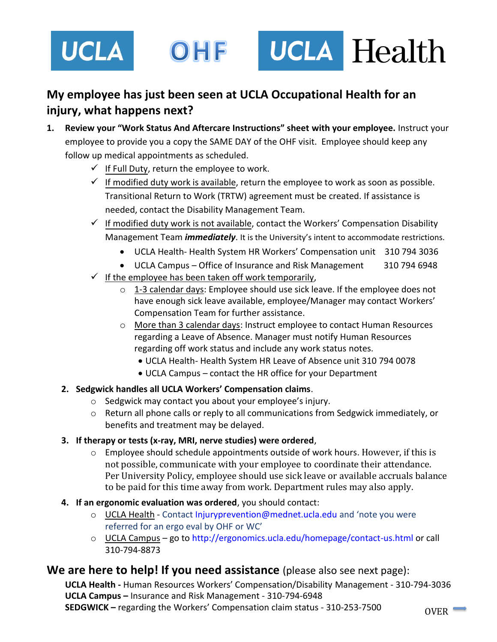

# **My employee has just been seen at UCLA Occupational Health for an injury, what happens next?**

- **1. Review your "Work Status And Aftercare Instructions" sheet with your employee.** Instruct your employee to provide you a copy the SAME DAY of the OHF visit. Employee should keep any follow up medical appointments as scheduled.
	- $\checkmark$  If Full Duty, return the employee to work.
	- $\checkmark$  If modified duty work is available, return the employee to work as soon as possible. Transitional Return to Work (TRTW) agreement must be created. If assistance is needed, contact the Disability Management Team.
	- $\checkmark$  If modified duty work is not available, contact the Workers' Compensation Disability Management Team *immediately*. It is the University's intent to accommodate restrictions.
		- UCLA Health- Health System HR Workers' Compensation unit 310 794 3036
		- UCLA Campus Office of Insurance and Risk Management 310 794 6948
	- $\checkmark$  If the employee has been taken off work temporarily,
		- $\circ$  1-3 calendar days: Employee should use sick leave. If the employee does not have enough sick leave available, employee/Manager may contact Workers' Compensation Team for further assistance.
		- o More than 3 calendar days: Instruct employee to contact Human Resources regarding a Leave of Absence. Manager must notify Human Resources regarding off work status and include any work status notes.
			- UCLA Health- Health System HR Leave of Absence unit 310 794 0078
			- UCLA Campus contact the HR office for your Department

# **2. Sedgwick handles all UCLA Workers' Compensation claims**.

- o Sedgwick may contact you about your employee's injury.
- o Return all phone calls or reply to all communications from Sedgwick immediately, or benefits and treatment may be delayed.

# **3. If therapy or tests (x-ray, MRI, nerve studies) were ordered**,

- $\circ$  Employee should schedule appointments outside of work hours. However, if this is not possible, communicate with your employee to coordinate their attendance. Per University Policy, employee should use sick leave or available accruals balance to be paid for this time away from work. Department rules may also apply.
- **4. If an ergonomic evaluation was ordered**, you should contact:
	- o UCLA Health Contact Injuryprevention@mednet.ucla.edu and 'note you were referred for an ergo eval by OHF or WC'
	- o UCLA Campus go to http://ergonomics.ucla.edu/homepage/contact-us.html or call 310-794-8873

# **We are here to help! If you need assistance** (please also see next page):

**UCLA Health -** Human Resources Workers' Compensation/Disability Management - 310-794-3036 **UCLA Campus –** Insurance and Risk Management - 310-794-6948 **SEDGWICK –** regarding the Workers' Compensation claim status - 310-253-7500 0VER